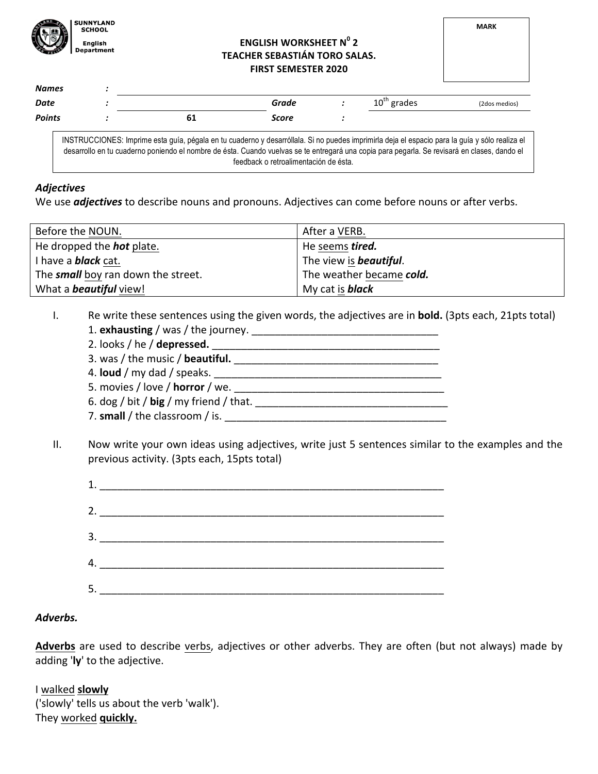

## **ENGLISH WORKSHEET N<sup>0</sup> 2 TEACHER SEBASTIÁN TORO SALAS. FIRST SEMESTER 2020**

| <b>Names</b> | ٠      |  |
|--------------|--------|--|
| Date         | ٠<br>٠ |  |

**Date** *i :* **Crade** *i* **Grade** *i* **10**<sup>th</sup> grades (2dos medios) *Points :* **61** *Score :*

INSTRUCCIONES: Imprime esta guía, pégala en tu cuaderno y desarróllala. Si no puedes imprimirla deja el espacio para la guía y sólo realiza el desarrollo en tu cuaderno poniendo el nombre de ésta. Cuando vuelvas se te entregará una copia para pegarla. Se revisará en clases, dando el feedback o retroalimentación de ésta.

## *Adjectives*

We use *adjectives* to describe nouns and pronouns. Adjectives can come before nouns or after verbs.

| Before the NOUN.                          | After a VERB.                  |
|-------------------------------------------|--------------------------------|
| He dropped the <b>hot</b> plate.          | He seems tired.                |
| I have a <b>black</b> cat.                | The view is <b>beautiful</b> . |
| The <b>small</b> boy ran down the street. | The weather became cold.       |
| What a <b>beautiful</b> view!             | My cat is <b>black</b>         |

- I. Re write these sentences using the given words, the adjectives are in **bold.** (3pts each, 21pts total) 1. **exhausting** / was / the journey. \_\_\_\_\_\_\_\_\_\_\_\_\_\_\_\_\_\_\_\_\_\_\_\_\_\_\_\_\_\_\_\_
	- 2. looks / he / **depressed.** 3. was / the music / **beautiful.** \_\_\_\_\_\_\_\_\_\_\_\_\_\_\_\_\_\_\_\_\_\_\_\_\_\_\_\_\_\_\_\_\_\_\_ 4. **loud** / my dad / speaks. \_\_\_\_\_\_\_\_\_\_\_\_\_\_\_\_\_\_\_\_\_\_\_\_\_\_\_\_\_\_\_\_\_\_\_\_\_\_\_ 5. movies / love / **horror** / we. 6.  $\deg / \text{bit} / \log / \text{my friend} / \text{that}$ . 7. **small** / the classroom / is. \_\_\_\_\_\_\_\_\_\_\_\_\_\_\_\_\_\_\_\_\_\_\_\_\_\_\_\_\_\_\_\_\_\_\_\_\_\_
- II. Now write your own ideas using adjectives, write just 5 sentences similar to the examples and the previous activity. (3pts each, 15pts total)

|     | 1. $\qquad \qquad$ |
|-----|--------------------|
|     |                    |
|     | 3.                 |
|     |                    |
| -5. |                    |

## *Adverbs.*

Adverbs are used to describe verbs, adjectives or other adverbs. They are often (but not always) made by adding 'ly' to the adjective.

I walked **slowly** ('slowly' tells us about the verb 'walk'). They worked **quickly.**